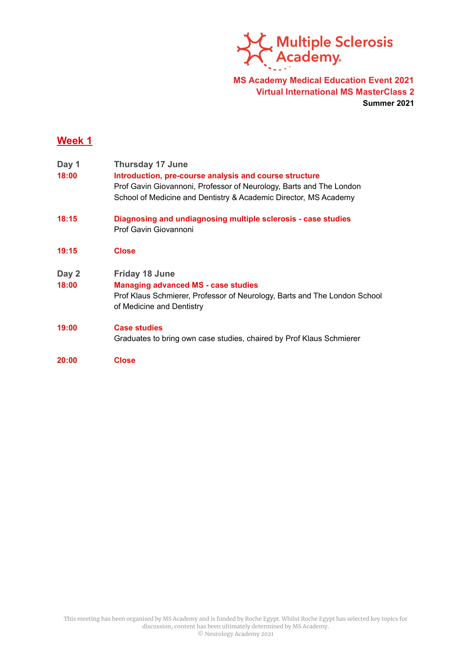

**MS Academy Medical Education Event 2021 Virtual International MS MasterClass 2 Summer 2021**

### **Week 1**

- **Day 1 Thursday 17 June 18:00 Introduction, pre-course analysis and course structure** Prof Gavin Giovannoni, Professor of Neurology, Barts and The London School of Medicine and Dentistry & Academic Director, MS Academy
- **18:15 Diagnosing and undiagnosing multiple sclerosis - case studies** Prof Gavin Giovannoni

### **19:15 Close**

- **Day 2 Friday 18 June**
- **18:00 Managing advanced MS - case studies** Prof Klaus Schmierer, Professor of Neurology, Barts and The London School of Medicine and Dentistry

#### **19:00 Case studies** Graduates to bring own case studies, chaired by Prof Klaus Schmierer

**20:00 Close**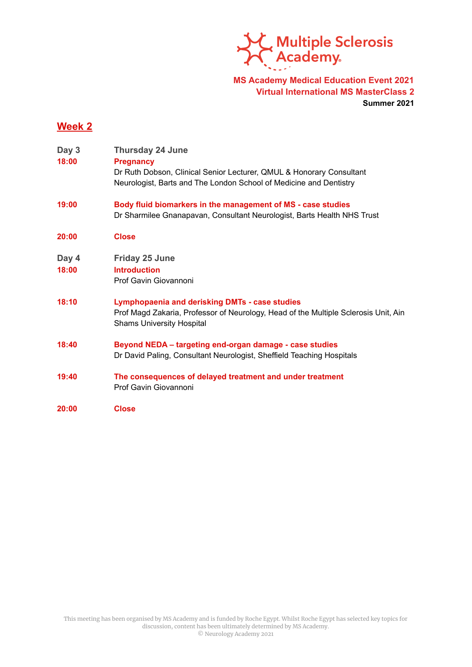

**MS Academy Medical Education Event 2021 Virtual International MS MasterClass 2 Summer 2021**

## **Week 2**

| Day 3<br>18:00 | <b>Thursday 24 June</b><br><b>Pregnancy</b><br>Dr Ruth Dobson, Clinical Senior Lecturer, QMUL & Honorary Consultant<br>Neurologist, Barts and The London School of Medicine and Dentistry |
|----------------|-------------------------------------------------------------------------------------------------------------------------------------------------------------------------------------------|
| 19:00          | Body fluid biomarkers in the management of MS - case studies<br>Dr Sharmilee Gnanapavan, Consultant Neurologist, Barts Health NHS Trust                                                   |
| 20:00          | <b>Close</b>                                                                                                                                                                              |
| Day 4<br>18:00 | <b>Friday 25 June</b><br><b>Introduction</b><br>Prof Gavin Giovannoni                                                                                                                     |
| 18:10          | <b>Lymphopaenia and derisking DMTs - case studies</b><br>Prof Magd Zakaria, Professor of Neurology, Head of the Multiple Sclerosis Unit, Ain<br><b>Shams University Hospital</b>          |
| 18:40          | Beyond NEDA - targeting end-organ damage - case studies<br>Dr David Paling, Consultant Neurologist, Sheffield Teaching Hospitals                                                          |
| 19:40          | The consequences of delayed treatment and under treatment<br>Prof Gavin Giovannoni                                                                                                        |
| 20:00          | <b>Close</b>                                                                                                                                                                              |